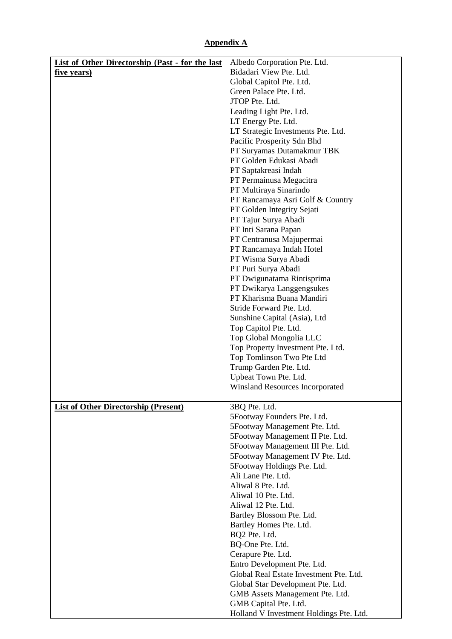## **Appendix A**

| Bidadari View Pte. Ltd.<br><u>five years)</u><br>Global Capitol Pte. Ltd.<br>Green Palace Pte. Ltd.<br>JTOP Pte. Ltd.<br>Leading Light Pte. Ltd.<br>LT Energy Pte. Ltd.<br>LT Strategic Investments Pte. Ltd.<br>Pacific Prosperity Sdn Bhd<br>PT Suryamas Dutamakmur TBK<br>PT Golden Edukasi Abadi<br>PT Saptakreasi Indah<br>PT Permainusa Megacitra<br>PT Multiraya Sinarindo<br>PT Rancamaya Asri Golf & Country<br>PT Golden Integrity Sejati<br>PT Tajur Surya Abadi<br>PT Inti Sarana Papan<br>PT Centranusa Majupermai<br>PT Rancamaya Indah Hotel<br>PT Wisma Surya Abadi<br>PT Puri Surya Abadi<br>PT Dwigunatama Rintisprima<br>PT Dwikarya Langgengsukes<br>PT Kharisma Buana Mandiri<br>Stride Forward Pte. Ltd.<br>Sunshine Capital (Asia), Ltd<br>Top Capitol Pte. Ltd.<br>Top Global Mongolia LLC<br>Top Property Investment Pte. Ltd.<br>Top Tomlinson Two Pte Ltd<br>Trump Garden Pte. Ltd.<br>Upbeat Town Pte. Ltd.<br>Winsland Resources Incorporated<br><b>List of Other Directorship (Present)</b><br>3BQ Pte. Ltd.<br>5Footway Founders Pte. Ltd.<br>5Footway Management Pte. Ltd.<br>5Footway Management II Pte. Ltd.<br>5Footway Management III Pte. Ltd.<br>5Footway Management IV Pte. Ltd.<br>5Footway Holdings Pte. Ltd.<br>Ali Lane Pte. Ltd.<br>Aliwal 8 Pte. Ltd.<br>Aliwal 10 Pte. Ltd.<br>Aliwal 12 Pte. Ltd.<br>Bartley Blossom Pte. Ltd.<br>Bartley Homes Pte. Ltd.<br>BQ2 Pte. Ltd.<br>BQ-One Pte. Ltd.<br>Cerapure Pte. Ltd.<br>Entro Development Pte. Ltd.<br>Global Real Estate Investment Pte. Ltd.<br>Global Star Development Pte. Ltd.<br>GMB Assets Management Pte. Ltd.<br>GMB Capital Pte. Ltd. | <b>List of Other Directorship (Past - for the last</b> | Albedo Corporation Pte. Ltd.            |
|------------------------------------------------------------------------------------------------------------------------------------------------------------------------------------------------------------------------------------------------------------------------------------------------------------------------------------------------------------------------------------------------------------------------------------------------------------------------------------------------------------------------------------------------------------------------------------------------------------------------------------------------------------------------------------------------------------------------------------------------------------------------------------------------------------------------------------------------------------------------------------------------------------------------------------------------------------------------------------------------------------------------------------------------------------------------------------------------------------------------------------------------------------------------------------------------------------------------------------------------------------------------------------------------------------------------------------------------------------------------------------------------------------------------------------------------------------------------------------------------------------------------------------------------------------------------------------------------------------------------------------------------|--------------------------------------------------------|-----------------------------------------|
|                                                                                                                                                                                                                                                                                                                                                                                                                                                                                                                                                                                                                                                                                                                                                                                                                                                                                                                                                                                                                                                                                                                                                                                                                                                                                                                                                                                                                                                                                                                                                                                                                                                |                                                        |                                         |
|                                                                                                                                                                                                                                                                                                                                                                                                                                                                                                                                                                                                                                                                                                                                                                                                                                                                                                                                                                                                                                                                                                                                                                                                                                                                                                                                                                                                                                                                                                                                                                                                                                                |                                                        |                                         |
|                                                                                                                                                                                                                                                                                                                                                                                                                                                                                                                                                                                                                                                                                                                                                                                                                                                                                                                                                                                                                                                                                                                                                                                                                                                                                                                                                                                                                                                                                                                                                                                                                                                |                                                        |                                         |
|                                                                                                                                                                                                                                                                                                                                                                                                                                                                                                                                                                                                                                                                                                                                                                                                                                                                                                                                                                                                                                                                                                                                                                                                                                                                                                                                                                                                                                                                                                                                                                                                                                                |                                                        |                                         |
|                                                                                                                                                                                                                                                                                                                                                                                                                                                                                                                                                                                                                                                                                                                                                                                                                                                                                                                                                                                                                                                                                                                                                                                                                                                                                                                                                                                                                                                                                                                                                                                                                                                |                                                        |                                         |
|                                                                                                                                                                                                                                                                                                                                                                                                                                                                                                                                                                                                                                                                                                                                                                                                                                                                                                                                                                                                                                                                                                                                                                                                                                                                                                                                                                                                                                                                                                                                                                                                                                                |                                                        |                                         |
|                                                                                                                                                                                                                                                                                                                                                                                                                                                                                                                                                                                                                                                                                                                                                                                                                                                                                                                                                                                                                                                                                                                                                                                                                                                                                                                                                                                                                                                                                                                                                                                                                                                |                                                        |                                         |
|                                                                                                                                                                                                                                                                                                                                                                                                                                                                                                                                                                                                                                                                                                                                                                                                                                                                                                                                                                                                                                                                                                                                                                                                                                                                                                                                                                                                                                                                                                                                                                                                                                                |                                                        |                                         |
|                                                                                                                                                                                                                                                                                                                                                                                                                                                                                                                                                                                                                                                                                                                                                                                                                                                                                                                                                                                                                                                                                                                                                                                                                                                                                                                                                                                                                                                                                                                                                                                                                                                |                                                        |                                         |
|                                                                                                                                                                                                                                                                                                                                                                                                                                                                                                                                                                                                                                                                                                                                                                                                                                                                                                                                                                                                                                                                                                                                                                                                                                                                                                                                                                                                                                                                                                                                                                                                                                                |                                                        |                                         |
|                                                                                                                                                                                                                                                                                                                                                                                                                                                                                                                                                                                                                                                                                                                                                                                                                                                                                                                                                                                                                                                                                                                                                                                                                                                                                                                                                                                                                                                                                                                                                                                                                                                |                                                        |                                         |
|                                                                                                                                                                                                                                                                                                                                                                                                                                                                                                                                                                                                                                                                                                                                                                                                                                                                                                                                                                                                                                                                                                                                                                                                                                                                                                                                                                                                                                                                                                                                                                                                                                                |                                                        |                                         |
|                                                                                                                                                                                                                                                                                                                                                                                                                                                                                                                                                                                                                                                                                                                                                                                                                                                                                                                                                                                                                                                                                                                                                                                                                                                                                                                                                                                                                                                                                                                                                                                                                                                |                                                        |                                         |
|                                                                                                                                                                                                                                                                                                                                                                                                                                                                                                                                                                                                                                                                                                                                                                                                                                                                                                                                                                                                                                                                                                                                                                                                                                                                                                                                                                                                                                                                                                                                                                                                                                                |                                                        |                                         |
|                                                                                                                                                                                                                                                                                                                                                                                                                                                                                                                                                                                                                                                                                                                                                                                                                                                                                                                                                                                                                                                                                                                                                                                                                                                                                                                                                                                                                                                                                                                                                                                                                                                |                                                        |                                         |
|                                                                                                                                                                                                                                                                                                                                                                                                                                                                                                                                                                                                                                                                                                                                                                                                                                                                                                                                                                                                                                                                                                                                                                                                                                                                                                                                                                                                                                                                                                                                                                                                                                                |                                                        |                                         |
|                                                                                                                                                                                                                                                                                                                                                                                                                                                                                                                                                                                                                                                                                                                                                                                                                                                                                                                                                                                                                                                                                                                                                                                                                                                                                                                                                                                                                                                                                                                                                                                                                                                |                                                        |                                         |
|                                                                                                                                                                                                                                                                                                                                                                                                                                                                                                                                                                                                                                                                                                                                                                                                                                                                                                                                                                                                                                                                                                                                                                                                                                                                                                                                                                                                                                                                                                                                                                                                                                                |                                                        |                                         |
|                                                                                                                                                                                                                                                                                                                                                                                                                                                                                                                                                                                                                                                                                                                                                                                                                                                                                                                                                                                                                                                                                                                                                                                                                                                                                                                                                                                                                                                                                                                                                                                                                                                |                                                        |                                         |
|                                                                                                                                                                                                                                                                                                                                                                                                                                                                                                                                                                                                                                                                                                                                                                                                                                                                                                                                                                                                                                                                                                                                                                                                                                                                                                                                                                                                                                                                                                                                                                                                                                                |                                                        |                                         |
|                                                                                                                                                                                                                                                                                                                                                                                                                                                                                                                                                                                                                                                                                                                                                                                                                                                                                                                                                                                                                                                                                                                                                                                                                                                                                                                                                                                                                                                                                                                                                                                                                                                |                                                        |                                         |
|                                                                                                                                                                                                                                                                                                                                                                                                                                                                                                                                                                                                                                                                                                                                                                                                                                                                                                                                                                                                                                                                                                                                                                                                                                                                                                                                                                                                                                                                                                                                                                                                                                                |                                                        |                                         |
|                                                                                                                                                                                                                                                                                                                                                                                                                                                                                                                                                                                                                                                                                                                                                                                                                                                                                                                                                                                                                                                                                                                                                                                                                                                                                                                                                                                                                                                                                                                                                                                                                                                |                                                        |                                         |
|                                                                                                                                                                                                                                                                                                                                                                                                                                                                                                                                                                                                                                                                                                                                                                                                                                                                                                                                                                                                                                                                                                                                                                                                                                                                                                                                                                                                                                                                                                                                                                                                                                                |                                                        |                                         |
|                                                                                                                                                                                                                                                                                                                                                                                                                                                                                                                                                                                                                                                                                                                                                                                                                                                                                                                                                                                                                                                                                                                                                                                                                                                                                                                                                                                                                                                                                                                                                                                                                                                |                                                        |                                         |
|                                                                                                                                                                                                                                                                                                                                                                                                                                                                                                                                                                                                                                                                                                                                                                                                                                                                                                                                                                                                                                                                                                                                                                                                                                                                                                                                                                                                                                                                                                                                                                                                                                                |                                                        |                                         |
|                                                                                                                                                                                                                                                                                                                                                                                                                                                                                                                                                                                                                                                                                                                                                                                                                                                                                                                                                                                                                                                                                                                                                                                                                                                                                                                                                                                                                                                                                                                                                                                                                                                |                                                        |                                         |
|                                                                                                                                                                                                                                                                                                                                                                                                                                                                                                                                                                                                                                                                                                                                                                                                                                                                                                                                                                                                                                                                                                                                                                                                                                                                                                                                                                                                                                                                                                                                                                                                                                                |                                                        |                                         |
|                                                                                                                                                                                                                                                                                                                                                                                                                                                                                                                                                                                                                                                                                                                                                                                                                                                                                                                                                                                                                                                                                                                                                                                                                                                                                                                                                                                                                                                                                                                                                                                                                                                |                                                        |                                         |
|                                                                                                                                                                                                                                                                                                                                                                                                                                                                                                                                                                                                                                                                                                                                                                                                                                                                                                                                                                                                                                                                                                                                                                                                                                                                                                                                                                                                                                                                                                                                                                                                                                                |                                                        |                                         |
|                                                                                                                                                                                                                                                                                                                                                                                                                                                                                                                                                                                                                                                                                                                                                                                                                                                                                                                                                                                                                                                                                                                                                                                                                                                                                                                                                                                                                                                                                                                                                                                                                                                |                                                        |                                         |
|                                                                                                                                                                                                                                                                                                                                                                                                                                                                                                                                                                                                                                                                                                                                                                                                                                                                                                                                                                                                                                                                                                                                                                                                                                                                                                                                                                                                                                                                                                                                                                                                                                                |                                                        |                                         |
|                                                                                                                                                                                                                                                                                                                                                                                                                                                                                                                                                                                                                                                                                                                                                                                                                                                                                                                                                                                                                                                                                                                                                                                                                                                                                                                                                                                                                                                                                                                                                                                                                                                |                                                        |                                         |
|                                                                                                                                                                                                                                                                                                                                                                                                                                                                                                                                                                                                                                                                                                                                                                                                                                                                                                                                                                                                                                                                                                                                                                                                                                                                                                                                                                                                                                                                                                                                                                                                                                                |                                                        |                                         |
|                                                                                                                                                                                                                                                                                                                                                                                                                                                                                                                                                                                                                                                                                                                                                                                                                                                                                                                                                                                                                                                                                                                                                                                                                                                                                                                                                                                                                                                                                                                                                                                                                                                |                                                        |                                         |
|                                                                                                                                                                                                                                                                                                                                                                                                                                                                                                                                                                                                                                                                                                                                                                                                                                                                                                                                                                                                                                                                                                                                                                                                                                                                                                                                                                                                                                                                                                                                                                                                                                                |                                                        |                                         |
|                                                                                                                                                                                                                                                                                                                                                                                                                                                                                                                                                                                                                                                                                                                                                                                                                                                                                                                                                                                                                                                                                                                                                                                                                                                                                                                                                                                                                                                                                                                                                                                                                                                |                                                        |                                         |
|                                                                                                                                                                                                                                                                                                                                                                                                                                                                                                                                                                                                                                                                                                                                                                                                                                                                                                                                                                                                                                                                                                                                                                                                                                                                                                                                                                                                                                                                                                                                                                                                                                                |                                                        |                                         |
|                                                                                                                                                                                                                                                                                                                                                                                                                                                                                                                                                                                                                                                                                                                                                                                                                                                                                                                                                                                                                                                                                                                                                                                                                                                                                                                                                                                                                                                                                                                                                                                                                                                |                                                        |                                         |
|                                                                                                                                                                                                                                                                                                                                                                                                                                                                                                                                                                                                                                                                                                                                                                                                                                                                                                                                                                                                                                                                                                                                                                                                                                                                                                                                                                                                                                                                                                                                                                                                                                                |                                                        |                                         |
|                                                                                                                                                                                                                                                                                                                                                                                                                                                                                                                                                                                                                                                                                                                                                                                                                                                                                                                                                                                                                                                                                                                                                                                                                                                                                                                                                                                                                                                                                                                                                                                                                                                |                                                        |                                         |
|                                                                                                                                                                                                                                                                                                                                                                                                                                                                                                                                                                                                                                                                                                                                                                                                                                                                                                                                                                                                                                                                                                                                                                                                                                                                                                                                                                                                                                                                                                                                                                                                                                                |                                                        |                                         |
|                                                                                                                                                                                                                                                                                                                                                                                                                                                                                                                                                                                                                                                                                                                                                                                                                                                                                                                                                                                                                                                                                                                                                                                                                                                                                                                                                                                                                                                                                                                                                                                                                                                |                                                        |                                         |
|                                                                                                                                                                                                                                                                                                                                                                                                                                                                                                                                                                                                                                                                                                                                                                                                                                                                                                                                                                                                                                                                                                                                                                                                                                                                                                                                                                                                                                                                                                                                                                                                                                                |                                                        |                                         |
|                                                                                                                                                                                                                                                                                                                                                                                                                                                                                                                                                                                                                                                                                                                                                                                                                                                                                                                                                                                                                                                                                                                                                                                                                                                                                                                                                                                                                                                                                                                                                                                                                                                |                                                        |                                         |
|                                                                                                                                                                                                                                                                                                                                                                                                                                                                                                                                                                                                                                                                                                                                                                                                                                                                                                                                                                                                                                                                                                                                                                                                                                                                                                                                                                                                                                                                                                                                                                                                                                                |                                                        |                                         |
|                                                                                                                                                                                                                                                                                                                                                                                                                                                                                                                                                                                                                                                                                                                                                                                                                                                                                                                                                                                                                                                                                                                                                                                                                                                                                                                                                                                                                                                                                                                                                                                                                                                |                                                        |                                         |
|                                                                                                                                                                                                                                                                                                                                                                                                                                                                                                                                                                                                                                                                                                                                                                                                                                                                                                                                                                                                                                                                                                                                                                                                                                                                                                                                                                                                                                                                                                                                                                                                                                                |                                                        |                                         |
|                                                                                                                                                                                                                                                                                                                                                                                                                                                                                                                                                                                                                                                                                                                                                                                                                                                                                                                                                                                                                                                                                                                                                                                                                                                                                                                                                                                                                                                                                                                                                                                                                                                |                                                        |                                         |
|                                                                                                                                                                                                                                                                                                                                                                                                                                                                                                                                                                                                                                                                                                                                                                                                                                                                                                                                                                                                                                                                                                                                                                                                                                                                                                                                                                                                                                                                                                                                                                                                                                                |                                                        |                                         |
|                                                                                                                                                                                                                                                                                                                                                                                                                                                                                                                                                                                                                                                                                                                                                                                                                                                                                                                                                                                                                                                                                                                                                                                                                                                                                                                                                                                                                                                                                                                                                                                                                                                |                                                        |                                         |
|                                                                                                                                                                                                                                                                                                                                                                                                                                                                                                                                                                                                                                                                                                                                                                                                                                                                                                                                                                                                                                                                                                                                                                                                                                                                                                                                                                                                                                                                                                                                                                                                                                                |                                                        |                                         |
|                                                                                                                                                                                                                                                                                                                                                                                                                                                                                                                                                                                                                                                                                                                                                                                                                                                                                                                                                                                                                                                                                                                                                                                                                                                                                                                                                                                                                                                                                                                                                                                                                                                |                                                        |                                         |
|                                                                                                                                                                                                                                                                                                                                                                                                                                                                                                                                                                                                                                                                                                                                                                                                                                                                                                                                                                                                                                                                                                                                                                                                                                                                                                                                                                                                                                                                                                                                                                                                                                                |                                                        |                                         |
|                                                                                                                                                                                                                                                                                                                                                                                                                                                                                                                                                                                                                                                                                                                                                                                                                                                                                                                                                                                                                                                                                                                                                                                                                                                                                                                                                                                                                                                                                                                                                                                                                                                |                                                        |                                         |
|                                                                                                                                                                                                                                                                                                                                                                                                                                                                                                                                                                                                                                                                                                                                                                                                                                                                                                                                                                                                                                                                                                                                                                                                                                                                                                                                                                                                                                                                                                                                                                                                                                                |                                                        | Holland V Investment Holdings Pte. Ltd. |